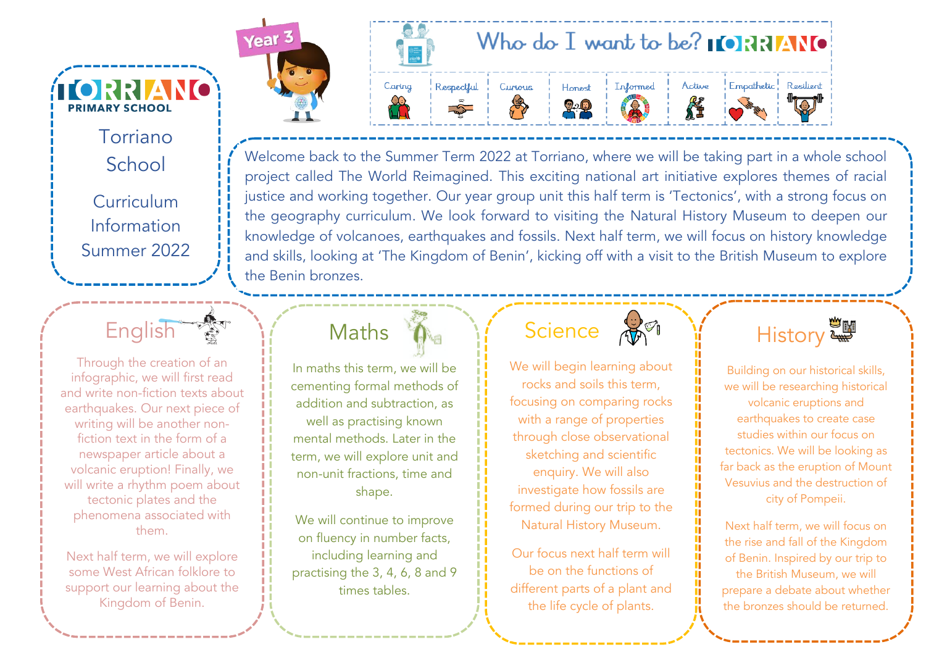**TORRIANO PRIMARY SCHOOL** Torriano School **Curriculum** Information Summer 2022



Through the creation of an infographic, we will first read and write non-fiction texts about earthquakes. Our next piece of writing will be another nonfiction text in the form of a newspaper article about a volcanic eruption! Finally, we will write a rhythm poem about tectonic plates and the phenomena associated with them.

Next half term, we will explore some West African folklore to support our learning about the Kingdom of Benin.





Welcome back to the Summer Term 2022 at Torriano, where we will be taking part in a whole school project called The World Reimagined. This exciting national art initiative explores themes of racial justice and working together. Our year group unit this half term is 'Tectonics', with a strong focus on the geography curriculum. We look forward to visiting the Natural History Museum to deepen our knowledge of volcanoes, earthquakes and fossils. Next half term, we will focus on history knowledge and skills, looking at 'The Kingdom of Benin', kicking off with a visit to the British Museum to explore the Benin bronzes.

In maths this term, we will be cementing formal methods of addition and subtraction, as well as practising known mental methods. Later in the term, we will explore unit and non-unit fractions, time and shape.

Maths

We will continue to improve on fluency in number facts, including learning and practising the 3, 4, 6, 8 and 9 times tables.

#### **Science**

We will begin learning about rocks and soils this term, focusing on comparing rocks with a range of properties through close observational sketching and scientific enquiry. We will also investigate how fossils are formed during our trip to the Natural History Museum.

Our focus next half term will be on the functions of different parts of a plant and the life cycle of plants.



Building on our historical skills, we will be researching historical volcanic eruptions and earthquakes to create case studies within our focus on tectonics. We will be looking as far back as the eruption of Mount Vesuvius and the destruction of city of Pompeii.

Next half term, we will focus on the rise and fall of the Kingdom of Benin. Inspired by our trip to the British Museum, we will prepare a debate about whether the bronzes should be returned.